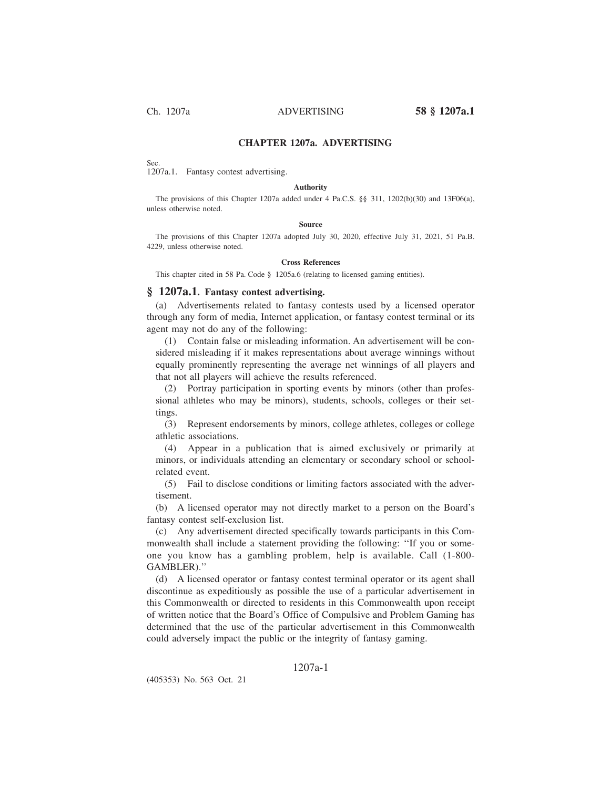## **CHAPTER 1207a. ADVERTISING**

Sec.

# 1207a.1. Fantasy contest advertising.

#### **Authority**

The provisions of this Chapter 1207a added under 4 Pa.C.S. §§ 311, 1202(b)(30) and 13F06(a), unless otherwise noted.

#### **Source**

The provisions of this Chapter 1207a adopted July 30, 2020, effective July 31, 2021, 51 Pa.B. 4229, unless otherwise noted.

### **Cross References**

This chapter cited in 58 Pa. Code § 1205a.6 (relating to licensed gaming entities).

### **§ 1207a.1. Fantasy contest advertising.**

(a) Advertisements related to fantasy contests used by a licensed operator through any form of media, Internet application, or fantasy contest terminal or its agent may not do any of the following:

(1) Contain false or misleading information. An advertisement will be considered misleading if it makes representations about average winnings without equally prominently representing the average net winnings of all players and that not all players will achieve the results referenced.

(2) Portray participation in sporting events by minors (other than professional athletes who may be minors), students, schools, colleges or their settings.

(3) Represent endorsements by minors, college athletes, colleges or college athletic associations.

(4) Appear in a publication that is aimed exclusively or primarily at minors, or individuals attending an elementary or secondary school or schoolrelated event.

(5) Fail to disclose conditions or limiting factors associated with the advertisement.

(b) A licensed operator may not directly market to a person on the Board's fantasy contest self-exclusion list.

(c) Any advertisement directed specifically towards participants in this Commonwealth shall include a statement providing the following: ''If you or someone you know has a gambling problem, help is available. Call (1-800- GAMBLER).''

(d) A licensed operator or fantasy contest terminal operator or its agent shall discontinue as expeditiously as possible the use of a particular advertisement in this Commonwealth or directed to residents in this Commonwealth upon receipt of written notice that the Board's Office of Compulsive and Problem Gaming has determined that the use of the particular advertisement in this Commonwealth could adversely impact the public or the integrity of fantasy gaming.

### 1207a-1

(405353) No. 563 Oct. 21